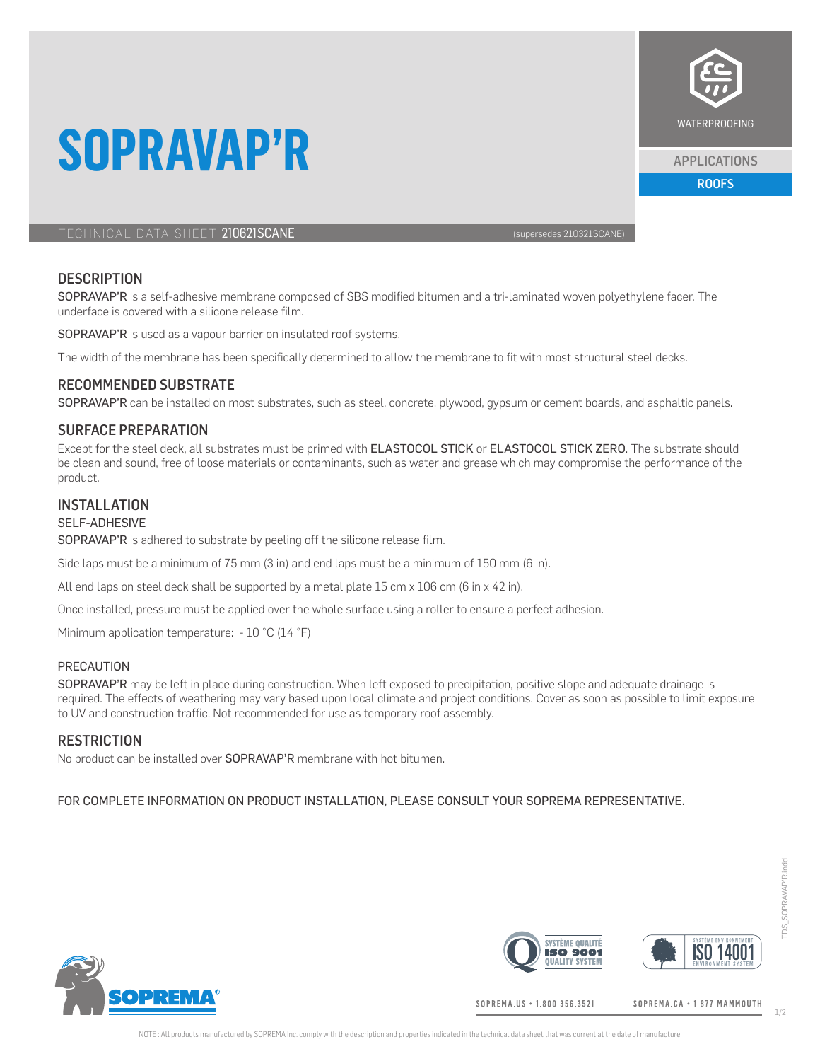

APPLICATIONS

ROOFS

TECHNICAL DATA SHEET 210621SCANE (SUPERSEDENTIAL SUPERSEDES 210321SCANE)

**SOPRAVAP'R**

# **DESCRIPTION**

SOPRAVAP'R is a self-adhesive membrane composed of SBS modified bitumen and a tri-laminated woven polyethylene facer. The underface is covered with a silicone release film.

SOPRAVAP'R is used as a vapour barrier on insulated roof systems.

The width of the membrane has been specifically determined to allow the membrane to fit with most structural steel decks.

# RECOMMENDED SUBSTRATE

SOPRAVAP'R can be installed on most substrates, such as steel, concrete, plywood, gypsum or cement boards, and asphaltic panels.

# SURFACE PREPARATION

Except for the steel deck, all substrates must be primed with ELASTOCOL STICK or ELASTOCOL STICK ZERO. The substrate should be clean and sound, free of loose materials or contaminants, such as water and grease which may compromise the performance of the product.

# INSTALLATION

#### SELF-ADHESIVE

SOPRAVAP'R is adhered to substrate by peeling off the silicone release film.

Side laps must be a minimum of 75 mm (3 in) and end laps must be a minimum of 150 mm (6 in).

All end laps on steel deck shall be supported by a metal plate 15 cm  $x$  106 cm (6 in  $x$  42 in).

Once installed, pressure must be applied over the whole surface using a roller to ensure a perfect adhesion.

Minimum application temperature: - 10 °C (14 °F)

### PRECAUTION

SOPRAVAP'R may be left in place during construction. When left exposed to precipitation, positive slope and adequate drainage is required. The effects of weathering may vary based upon local climate and project conditions. Cover as soon as possible to limit exposure to UV and construction traffic. Not recommended for use as temporary roof assembly.

## **RESTRICTION**

No product can be installed over **SOPRAVAP'R** membrane with hot bitumen.

#### FOR COMPLETE INFORMATION ON PRODUCT INSTALLATION, PLEASE CONSULT YOUR SOPREMA REPRESENTATIVE.



**SVSTÈME QUALITÉ ISO 1400 ISO 9001 DUALITY SYSTEM** 

SOPREMA.US · 1.800.356.3521

SOPREMA.CA · 1.877. MAMMOUTH